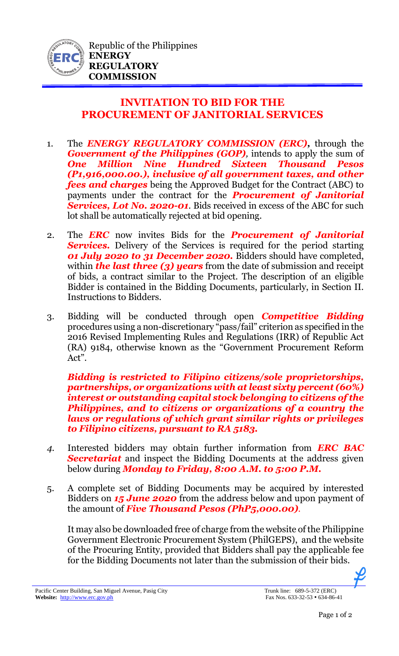

## **INVITATION TO BID FOR THE PROCUREMENT OF JANITORIAL SERVICES**

- 1. The *ENERGY REGULATORY COMMISSION (ERC),* through the *Government of the Philippines (GOP)*, intends to apply the sum of *One Million Nine Hundred Sixteen Thousand Pesos (P1,916,000.00.), inclusive of all government taxes, and other fees and charges* being the Approved Budget for the Contract (ABC) to payments under the contract for the *Procurement of Janitorial Services, Lot No. 2020-01*. Bids received in excess of the ABC for such lot shall be automatically rejected at bid opening.
- 2. The *ERC* now invites Bids for the *Procurement of Janitorial*  **Services.** Delivery of the Services is required for the period starting *01 July 2020 to 31 December 2020.* Bidders should have completed, within **the last three (3) years** from the date of submission and receipt of bids, a contract similar to the Project. The description of an eligible Bidder is contained in the Bidding Documents, particularly, in Section II. Instructions to Bidders.
- 3. Bidding will be conducted through open *Competitive Bidding* procedures using a non-discretionary "pass/fail" criterion as specified in the 2016 Revised Implementing Rules and Regulations (IRR) of Republic Act (RA) 9184, otherwise known as the "Government Procurement Reform Act".

*Bidding is restricted to Filipino citizens/sole proprietorships, partnerships, or organizations with at least sixty percent (60%) interest or outstanding capital stock belonging to citizens of the Philippines, and to citizens or organizations of a country the laws or regulations of which grant similar rights or privileges to Filipino citizens, pursuant to RA 5183.* 

- *4.* Interested bidders may obtain further information from *ERC BAC Secretariat* and inspect the Bidding Documents at the address given below during *Monday to Friday, 8:00 A.M. to 5:00 P.M.*
- 5. A complete set of Bidding Documents may be acquired by interested Bidders on *15 June 2020* from the address below and upon payment of the amount of *Five Thousand Pesos (PhP5,000.00).*

It may also be downloaded free of charge from the website of the Philippine Government Electronic Procurement System (PhilGEPS), and the website of the Procuring Entity, provided that Bidders shall pay the applicable fee for the Bidding Documents not later than the submission of their bids.